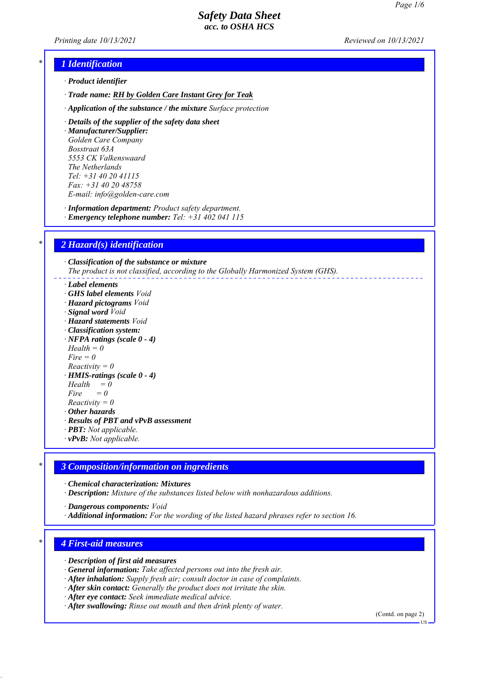*Printing date 10/13/2021 Reviewed on 10/13/2021*

## *\* 1 Identification*

- *ꞏ Product identifier*
- *ꞏ Trade name: RH by Golden Care Instant Grey for Teak*
- *ꞏ Application of the substance / the mixture Surface protection*
- *ꞏ Details of the supplier of the safety data sheet*

*ꞏ Manufacturer/Supplier: Golden Care Company Bosstraat 63A 5553 CK Valkenswaard The Netherlands Tel: +31 40 20 41115 Fax: +31 40 20 48758 E-mail: info@golden-care.com*

*ꞏ Information department: Product safety department.*

*ꞏ Emergency telephone number: Tel: +31 402 041 115*

## *\* 2 Hazard(s) identification*

*ꞏ Classification of the substance or mixture The product is not classified, according to the Globally Harmonized System (GHS).*

- *ꞏ Label elements*
- *ꞏ GHS label elements Void*
- *ꞏ Hazard pictograms Void*
- *ꞏ Signal word Void*
- *ꞏ Hazard statements Void*
- *ꞏ Classification system:*
- *ꞏ NFPA ratings (scale 0 4)*
- *Health = 0*
- *Fire = 0*
- *Reactivity = 0*
- *ꞏ HMIS-ratings (scale 0 4)*
- $Health = 0$
- $Fire = 0$ *Reactivity = 0*
- *ꞏ Other hazards*
- *ꞏ Results of PBT and vPvB assessment*
- *ꞏ PBT: Not applicable.*
- *ꞏ vPvB: Not applicable.*

## *\* 3 Composition/information on ingredients*

*ꞏ Chemical characterization: Mixtures*

*ꞏ Description: Mixture of the substances listed below with nonhazardous additions.*

*ꞏ Dangerous components: Void*

*ꞏ Additional information: For the wording of the listed hazard phrases refer to section 16.*

## *\* 4 First-aid measures*

*ꞏ Description of first aid measures*

- *ꞏ General information: Take affected persons out into the fresh air.*
- *ꞏ After inhalation: Supply fresh air; consult doctor in case of complaints.*
- *ꞏ After skin contact: Generally the product does not irritate the skin.*
- *ꞏ After eye contact: Seek immediate medical advice.*

*ꞏ After swallowing: Rinse out mouth and then drink plenty of water.*

(Contd. on page 2)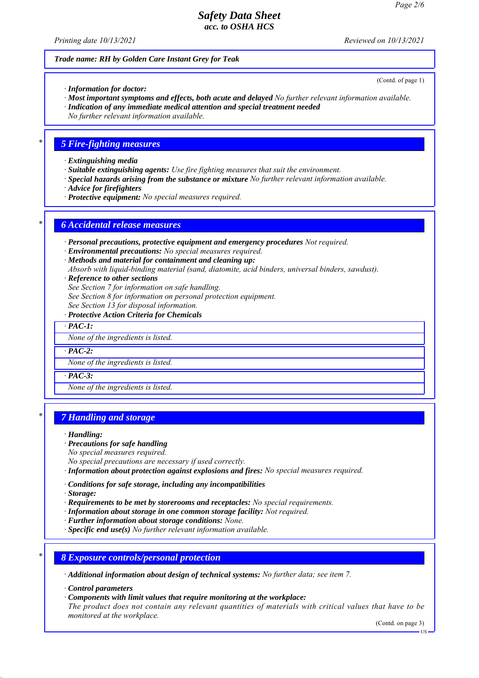*Printing date 10/13/2021 Reviewed on 10/13/2021*

(Contd. of page 1)

#### *Trade name: RH by Golden Care Instant Grey for Teak*

*ꞏ Information for doctor:*

- *ꞏ Most important symptoms and effects, both acute and delayed No further relevant information available.*
- *ꞏ Indication of any immediate medical attention and special treatment needed*

*No further relevant information available.*

#### *\* 5 Fire-fighting measures*

*ꞏ Extinguishing media*

- *ꞏ Suitable extinguishing agents: Use fire fighting measures that suit the environment.*
- *ꞏ Special hazards arising from the substance or mixture No further relevant information available.*
- *ꞏ Advice for firefighters*
- *ꞏ Protective equipment: No special measures required.*

## *\* 6 Accidental release measures*

*ꞏ Personal precautions, protective equipment and emergency procedures Not required.*

- *ꞏ Environmental precautions: No special measures required.*
- *ꞏ Methods and material for containment and cleaning up:*

*Absorb with liquid-binding material (sand, diatomite, acid binders, universal binders, sawdust).*

*ꞏ Reference to other sections*

*See Section 7 for information on safe handling.*

- *See Section 8 for information on personal protection equipment.*
- *See Section 13 for disposal information.*
- *ꞏ Protective Action Criteria for Chemicals*

*ꞏ PAC-1:*

*None of the ingredients is listed.*

 $\cdot$  **PAC-2:** 

*None of the ingredients is listed.*

*ꞏ PAC-3:*

*None of the ingredients is listed.*

## *\* 7 Handling and storage*

*ꞏ Handling:*

*ꞏ Precautions for safe handling*

*No special measures required.*

*No special precautions are necessary if used correctly.*

- *ꞏ Information about protection against explosions and fires: No special measures required.*
- *ꞏ Conditions for safe storage, including any incompatibilities*

*ꞏ Storage:*

- *ꞏ Requirements to be met by storerooms and receptacles: No special requirements.*
- *ꞏ Information about storage in one common storage facility: Not required.*
- *ꞏ Further information about storage conditions: None.*
- *ꞏ Specific end use(s) No further relevant information available.*
- *\* 8 Exposure controls/personal protection*

*ꞏ Additional information about design of technical systems: No further data; see item 7.*

*ꞏ Control parameters*

*ꞏ Components with limit values that require monitoring at the workplace:*

*The product does not contain any relevant quantities of materials with critical values that have to be monitored at the workplace.*

(Contd. on page 3)

US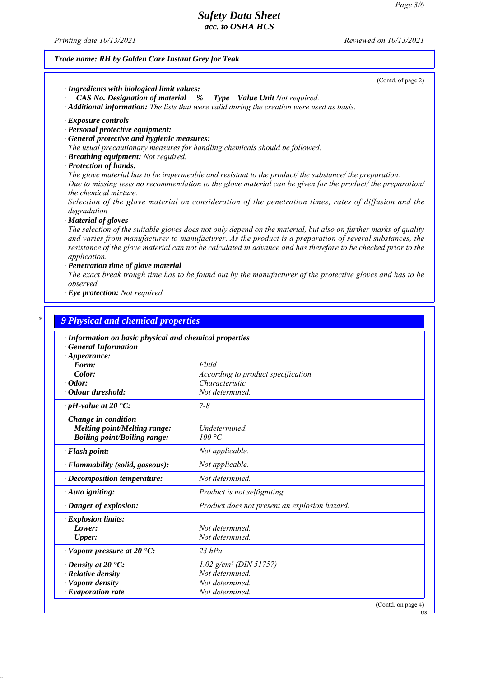*Printing date 10/13/2021 Reviewed on 10/13/2021*

#### *Trade name: RH by Golden Care Instant Grey for Teak*

(Contd. of page 2)

US

*ꞏ Ingredients with biological limit values:*

*ꞏ CAS No. Designation of material % Type Value Unit Not required. ꞏ Additional information: The lists that were valid during the creation were used as basis.*

*ꞏ Exposure controls*

- *ꞏ Personal protective equipment:*
- *ꞏ General protective and hygienic measures:*
- *The usual precautionary measures for handling chemicals should be followed.*
- *ꞏ Breathing equipment: Not required.*
- *ꞏ Protection of hands:*

*The glove material has to be impermeable and resistant to the product/ the substance/ the preparation. Due to missing tests no recommendation to the glove material can be given for the product/ the preparation/ the chemical mixture.*

*Selection of the glove material on consideration of the penetration times, rates of diffusion and the degradation*

*ꞏ Material of gloves*

*The selection of the suitable gloves does not only depend on the material, but also on further marks of quality and varies from manufacturer to manufacturer. As the product is a preparation of several substances, the resistance of the glove material can not be calculated in advance and has therefore to be checked prior to the application.*

*ꞏ Penetration time of glove material*

*The exact break trough time has to be found out by the manufacturer of the protective gloves and has to be observed.*

*ꞏ Eye protection: Not required.*

| · Information on basic physical and chemical properties |                                                      |  |
|---------------------------------------------------------|------------------------------------------------------|--|
| <b>General Information</b>                              |                                                      |  |
| $\cdot$ Appearance:                                     |                                                      |  |
| Form:<br>Color:                                         | Fluid                                                |  |
| $\cdot$ Odor:                                           | According to product specification<br>Characteristic |  |
| Odour threshold:                                        | Not determined.                                      |  |
| $\cdot$ pH-value at 20 $\textdegree$ C:                 | $7 - 8$                                              |  |
| $\cdot$ Change in condition                             |                                                      |  |
| <b>Melting point/Melting range:</b>                     | Undetermined.                                        |  |
| <b>Boiling point/Boiling range:</b>                     | 100 °C                                               |  |
| · Flash point:                                          | Not applicable.                                      |  |
| · Flammability (solid, gaseous):                        | Not applicable.                                      |  |
| $\cdot$ Decomposition temperature:                      | Not determined.                                      |  |
| · Auto igniting:                                        | Product is not selfigniting.                         |  |
| · Danger of explosion:                                  | Product does not present an explosion hazard.        |  |
| $\cdot$ Explosion limits:                               |                                                      |  |
| Lower:                                                  | Not determined                                       |  |
| Upper:                                                  | Not determined.                                      |  |
| $\cdot$ Vapour pressure at 20 $\cdot$ C:                | $23$ hPa                                             |  |
| $\cdot$ Density at 20 $\cdot$ C:                        | $1.02$ g/cm <sup>3</sup> (DIN 51757)                 |  |
| $\cdot$ Relative density                                | Not determined.                                      |  |
| · Vapour density                                        | Not determined.                                      |  |
| $\cdot$ Evaporation rate                                | Not determined.                                      |  |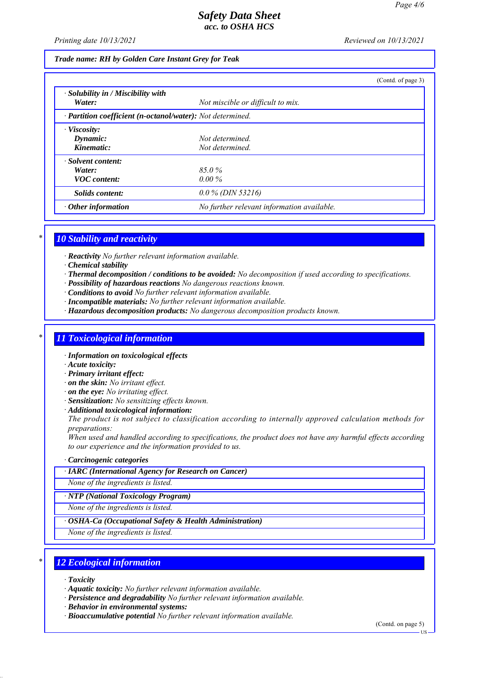*Printing date 10/13/2021 Reviewed on 10/13/2021*

*Trade name: RH by Golden Care Instant Grey for Teak*

|                                                     |                                                            | (Contd. of page 3) |  |  |
|-----------------------------------------------------|------------------------------------------------------------|--------------------|--|--|
| $\cdot$ Solubility in / Miscibility with<br>Water:  | Not miscible or difficult to mix.                          |                    |  |  |
|                                                     | · Partition coefficient (n-octanol/water): Not determined. |                    |  |  |
| $\cdot$ Viscosity:<br>Dynamic:<br>Kinematic:        | Not determined.<br>Not determined.                         |                    |  |  |
| · Solvent content:<br>Water:<br><b>VOC</b> content: | 85.0%<br>$0.00\%$                                          |                    |  |  |
| Solids content:                                     | $0.0\%$ (DIN 53216)                                        |                    |  |  |
| $\cdot$ Other information                           | No further relevant information available.                 |                    |  |  |

### *\* 10 Stability and reactivity*

*ꞏ Reactivity No further relevant information available.*

- *ꞏ Chemical stability*
- *ꞏ Thermal decomposition / conditions to be avoided: No decomposition if used according to specifications.*
- *ꞏ Possibility of hazardous reactions No dangerous reactions known.*
- *ꞏ Conditions to avoid No further relevant information available.*
- *ꞏ Incompatible materials: No further relevant information available.*
- *ꞏ Hazardous decomposition products: No dangerous decomposition products known.*

## *\* 11 Toxicological information*

- *ꞏ Information on toxicological effects*
- *ꞏ Acute toxicity:*
- *ꞏ Primary irritant effect:*
- *ꞏ on the skin: No irritant effect.*
- *ꞏ on the eye: No irritating effect.*
- *ꞏ Sensitization: No sensitizing effects known.*
- *ꞏ Additional toxicological information:*

*The product is not subject to classification according to internally approved calculation methods for preparations:*

*When used and handled according to specifications, the product does not have any harmful effects according to our experience and the information provided to us.*

- *ꞏ Carcinogenic categories*
- *ꞏ IARC (International Agency for Research on Cancer)*

*None of the ingredients is listed.*

*ꞏ NTP (National Toxicology Program)*

*None of the ingredients is listed.*

*ꞏ OSHA-Ca (Occupational Safety & Health Administration)*

*None of the ingredients is listed.*

## *\* 12 Ecological information*

*ꞏ Toxicity*

- *ꞏ Aquatic toxicity: No further relevant information available.*
- *ꞏ Persistence and degradability No further relevant information available.*

*ꞏ Behavior in environmental systems:*

*ꞏ Bioaccumulative potential No further relevant information available.*

(Contd. on page 5)

US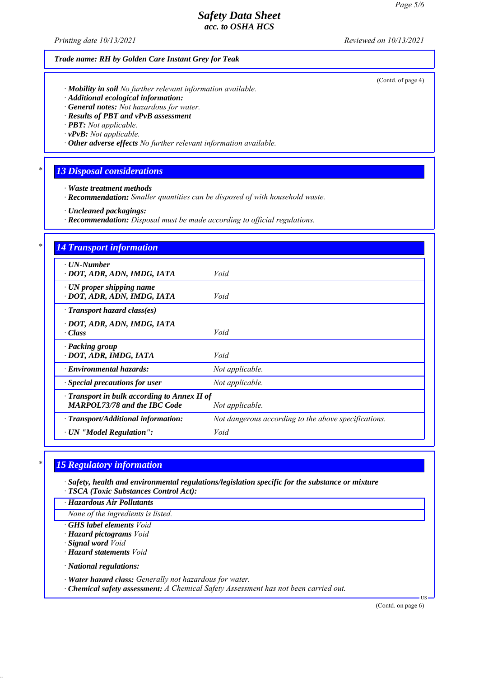*Printing date 10/13/2021 Reviewed on 10/13/2021*

|        | Trade name: RH by Golden Care Instant Grey for Teak                                                                                                                                                                                                                                                                                        |                                                      |  |  |
|--------|--------------------------------------------------------------------------------------------------------------------------------------------------------------------------------------------------------------------------------------------------------------------------------------------------------------------------------------------|------------------------------------------------------|--|--|
|        | · Mobility in soil No further relevant information available.<br>· Additional ecological information:<br>· General notes: Not hazardous for water.<br>· Results of PBT and vPvB assessment<br>· <b>PBT</b> : Not applicable.<br>$\cdot v$ PvB: Not applicable.<br>$\cdot$ Other adverse effects No further relevant information available. | (Contd. of page 4)                                   |  |  |
| *      | <b>13 Disposal considerations</b><br>· Waste treatment methods<br>· Recommendation: Smaller quantities can be disposed of with household waste.<br>· Uncleaned packagings:<br>· Recommendation: Disposal must be made according to official regulations.                                                                                   |                                                      |  |  |
|        |                                                                                                                                                                                                                                                                                                                                            |                                                      |  |  |
| $\ast$ | <b>14 Transport information</b>                                                                                                                                                                                                                                                                                                            |                                                      |  |  |
|        | · UN-Number<br>· DOT, ADR, ADN, IMDG, IATA                                                                                                                                                                                                                                                                                                 | Void                                                 |  |  |
|        | · UN proper shipping name<br>· DOT, ADR, ADN, IMDG, IATA                                                                                                                                                                                                                                                                                   | Void                                                 |  |  |
|        | · Transport hazard class(es)                                                                                                                                                                                                                                                                                                               |                                                      |  |  |
|        | · DOT, ADR, ADN, IMDG, IATA<br>· Class                                                                                                                                                                                                                                                                                                     | Void                                                 |  |  |
|        | · Packing group<br>· DOT, ADR, IMDG, IATA                                                                                                                                                                                                                                                                                                  | Void                                                 |  |  |
|        | · Environmental hazards:                                                                                                                                                                                                                                                                                                                   | Not applicable.                                      |  |  |
|        | <b>Special precautions for user</b>                                                                                                                                                                                                                                                                                                        | Not applicable.                                      |  |  |
|        | Transport in bulk according to Annex II of<br><b>MARPOL73/78 and the IBC Code</b>                                                                                                                                                                                                                                                          | Not applicable.                                      |  |  |
|        | · Transport/Additional information:                                                                                                                                                                                                                                                                                                        | Not dangerous according to the above specifications. |  |  |
|        | · UN "Model Regulation":                                                                                                                                                                                                                                                                                                                   | Void                                                 |  |  |

# *\* 15 Regulatory information*

*ꞏ Safety, health and environmental regulations/legislation specific for the substance or mixture ꞏ TSCA (Toxic Substances Control Act):*

*ꞏ Hazardous Air Pollutants*

*None of the ingredients is listed.*

*ꞏ GHS label elements Void*

*ꞏ Hazard pictograms Void*

*ꞏ Signal word Void*

*ꞏ Hazard statements Void*

*ꞏ National regulations:*

*ꞏ Water hazard class: Generally not hazardous for water.*

*ꞏ Chemical safety assessment: A Chemical Safety Assessment has not been carried out.*

(Contd. on page 6)

US